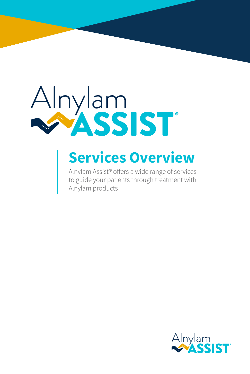# Alnylam<br>MASSIST

## **Services Overview**

Alnylam Assist® offers a wide range of services to guide your patients through treatment with Alnylam products

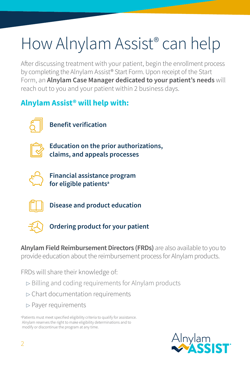# How Alnylam Assist® can help

After discussing treatment with your patient, begin the enrollment process by completing the Alnylam Assist® Start Form. Upon receipt of the Start Form, an **Alnylam Case Manager dedicated to your patient's needs** will reach out to you and your patient within 2 business days.

## **Alnylam Assist® will help with:**



**Benefit verification**



**Education on the prior authorizations, claims, and appeals processes**



**Financial assistance program for eligible patientsa**



**Disease and product education**



**Ordering product for your patient**

**Alnylam Field Reimbursement Directors (FRDs)** are also available to you to provide education about the reimbursement process for Alnylam products.

FRDs will share their knowledge of:

- ▷ Billing and coding requirements for Alnylam products
- $\triangleright$  Chart documentation requirements
- $\triangleright$  Payer requirements

a Patients must meet specified eligibility criteria to qualify for assistance. Alnylam reserves the right to make eligibility determinations and to modify or discontinue the program at any time.

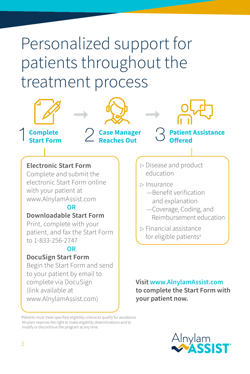# Personalized support for patients throughout the treatment process



**Visit [www.AlnylamAssist.com](https://www.alnylamassist.com/) to complete the Start Form with your patient now.**

a Patients must meet specified eligibility criteria to qualify for assistance. Alnylam reserves the right to make eligibility determinations and to modify or discontinue the program at any time.

complete via DocuSign

[www.AlnylamAssist.com](https://www.alnylamassist.com))

(link available at

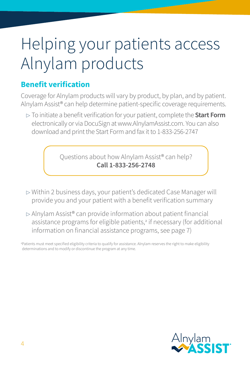# Helping your patients access Alnylam products

## **Benefit verification**

Coverage for Alnylam products will vary by product, by plan, and by patient. Alnylam Assist® can help determine patient-specific coverage requirements.

<sup>▷</sup> To initiate a benefit verification for your patient, complete the **Start Form** electronically or via DocuSign at www.AlnylamAssist.com. You can also download and print the Start Form and fax it to 1-833-256-2747

> Questions about how Alnylam Assist® can help? **Call 1-833-256-2748**

- $\triangleright$  Within 2 business days, your patient's dedicated Case Manager will provide you and your patient with a benefit verification summary
- <sup>▷</sup> Alnylam Assist® can provide information about patient financial assistance programs for eligible patients,<sup>a</sup> if necessary (for additional information on financial assistance programs, see page 7)

a Patients must meet specified eligibility criteria to qualify for assistance. Alnylam reserves the right to make eligibility determinations and to modify or discontinue the program at any time.

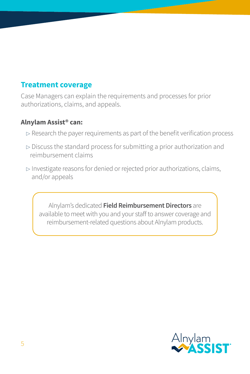## **Treatment coverage**

Case Managers can explain the requirements and processes for prior authorizations, claims, and appeals.

#### **Alnylam Assist® can:**

- $\triangleright$  Research the payer requirements as part of the benefit verification process
- $\triangleright$  Discuss the standard process for submitting a prior authorization and reimbursement claims
- <sup>▷</sup> Investigate reasons for denied or rejected prior authorizations, claims, and/or appeals

Alnylam's dedicated **Field Reimbursement Directors** are available to meet with you and your staff to answer coverage and reimbursement-related questions about Alnylam products.

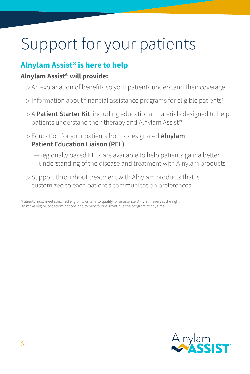# Support for your patients

## **Alnylam Assist® is here to help**

#### **Alnylam Assist® will provide:**

- $\rhd$  An explanation of benefits so your patients understand their coverage
- <sup>▷</sup> Information about financial assistance programs for eligible patients<sup>a</sup>
- <sup>▷</sup> A **Patient Starter Kit**, including educational materials designed to help patients understand their therapy and Alnylam Assist®
- <sup>▷</sup> Education for your patients from a designated **Alnylam Patient Education Liaison (PEL)**
	- —Regionally based PELs are available to help patients gain a better understanding of the disease and treatment with Alnylam products
- $\triangleright$  Support throughout treatment with Alnylam products that is customized to each patient's communication preferences

a Patients must meet specified eligibility criteria to qualify for assistance. Alnylam reserves the right to make eligibility determinations and to modify or discontinue the program at any time.

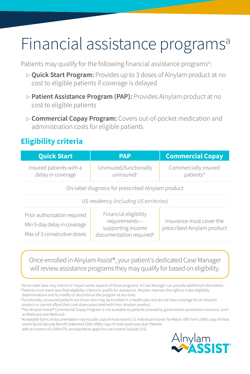# Financial assistance programs<sup>a</sup>

Patients may qualify for the following financial assistance programs<sup>b</sup>:

- <sup>▷</sup> **Quick Start Program:** Provides up to 3 doses of Alnylam product at no cost to eligible patients if coverage is delayed
- <sup>▷</sup> **Patient Assistance Program (PAP):** Provides Alnylam product at no cost to eligible patients
- <sup>▷</sup> **Commercial Copay Program:** Covers out-of-pocket medication and administration costs for eligible patients

## **Eligibility criteria**

| <b>Quick Start</b>                                                                        | <b>PAP</b>                                                                                         | <b>Commercial Copay</b>                                |
|-------------------------------------------------------------------------------------------|----------------------------------------------------------------------------------------------------|--------------------------------------------------------|
| Insured patients with a<br>delay in coverage                                              | Uninsured/functionally<br>uninsured <sup>c</sup>                                                   | Commercially insured<br>patients <sup>d</sup>          |
| On-label diagnosis for prescribed Alnylam product                                         |                                                                                                    |                                                        |
| US residency (including US territories)                                                   |                                                                                                    |                                                        |
| Prior authorization required<br>Min 5-day delay in coverage<br>Max of 3 consecutive doses | Financial eligibility<br>requirements-<br>supporting income<br>documentation required <sup>e</sup> | Insurance must cover the<br>prescribed Alnylam product |

#### Once enrolled in Alnylam Assist®, your patient's dedicated Case Manager will review assistance programs they may qualify for based on eligibility.

a Some state laws may restrict or impact some aspects of these programs. A Case Manager can provide additional information. b Patients must meet specified eligibility criteria to qualify for assistance. Alnylam reserves the right to make eligibility determinations and to modify or discontinue the program at any time.

c Functionally uninsured patients are those who may be enrolled in a health plan but do not have coverage for an Alnylam product or cannot afford their cost share associated with their Alnylam product.

d The Alnylam Assist® Commercial Copay Program is not available to patients covered by government-sponsored insurance, such as Medicare and Medicaid.

e Acceptable forms of documentation may include: copy of most recent U.S. Individual Income Tax Return (IRS Form 1040); copy of most recent Social Security Benefit Statement (SSA-1099); copy of most recent pay stub. Patients with an income of ≤150% FPL are required to apply for Low Income Subsidy (LIS).

Alnylam<br>**MASSIST**